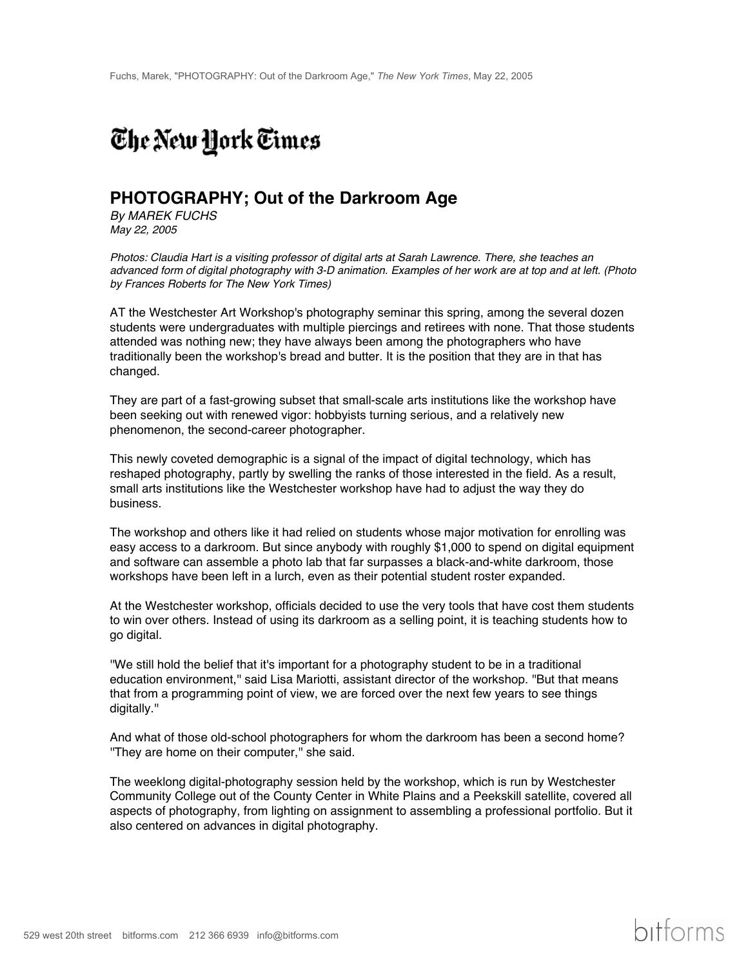## The New York Times

## **PHOTOGRAPHY; Out of the Darkroom Age**

*By MAREK FUCHS May 22, 2005*

*Photos: Claudia Hart is a visiting professor of digital arts at Sarah Lawrence. There, she teaches an advanced form of digital photography with 3-D animation. Examples of her work are at top and at left. (Photo by Frances Roberts for The New York Times)*

AT the Westchester Art Workshop's photography seminar this spring, among the several dozen students were undergraduates with multiple piercings and retirees with none. That those students attended was nothing new; they have always been among the photographers who have traditionally been the workshop's bread and butter. It is the position that they are in that has changed.

They are part of a fast-growing subset that small-scale arts institutions like the workshop have been seeking out with renewed vigor: hobbyists turning serious, and a relatively new phenomenon, the second-career photographer.

This newly coveted demographic is a signal of the impact of digital technology, which has reshaped photography, partly by swelling the ranks of those interested in the field. As a result, small arts institutions like the Westchester workshop have had to adjust the way they do business.

The workshop and others like it had relied on students whose major motivation for enrolling was easy access to a darkroom. But since anybody with roughly \$1,000 to spend on digital equipment and software can assemble a photo lab that far surpasses a black-and-white darkroom, those workshops have been left in a lurch, even as their potential student roster expanded.

At the Westchester workshop, officials decided to use the very tools that have cost them students to win over others. Instead of using its darkroom as a selling point, it is teaching students how to go digital.

''We still hold the belief that it's important for a photography student to be in a traditional education environment,'' said Lisa Mariotti, assistant director of the workshop. ''But that means that from a programming point of view, we are forced over the next few years to see things digitally.''

And what of those old-school photographers for whom the darkroom has been a second home? ''They are home on their computer,'' she said.

The weeklong digital-photography session held by the workshop, which is run by Westchester Community College out of the County Center in White Plains and a Peekskill satellite, covered all aspects of photography, from lighting on assignment to assembling a professional portfolio. But it also centered on advances in digital photography.